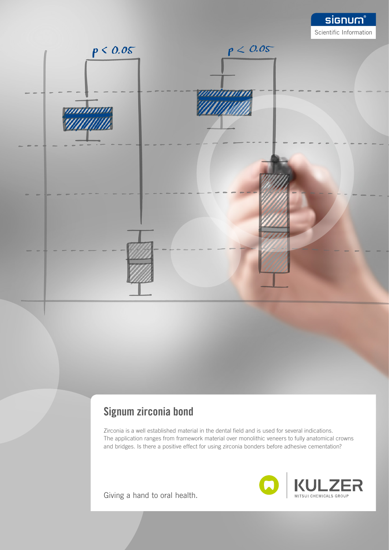

## Signum zirconia bond

Zirconia is a well established material in the dental field and is used for several indications. The application ranges from framework material over monolithic veneers to fully anatomical crowns and bridges. Is there a positive effect for using zirconia bonders before adhesive cementation?

Giving a hand to oral health.